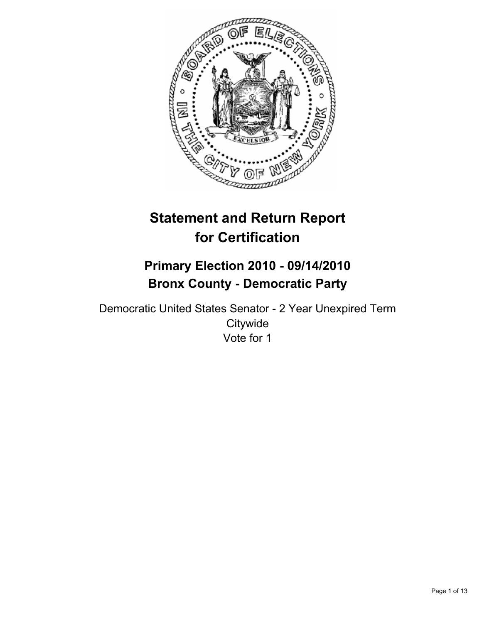

# **Statement and Return Report for Certification**

# **Primary Election 2010 - 09/14/2010 Bronx County - Democratic Party**

Democratic United States Senator - 2 Year Unexpired Term **Citywide** Vote for 1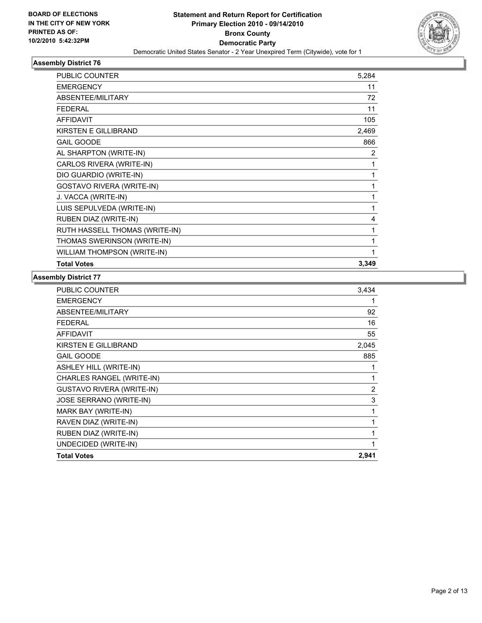

| <b>PUBLIC COUNTER</b>            | 5,284 |
|----------------------------------|-------|
| <b>EMERGENCY</b>                 | 11    |
| <b>ABSENTEE/MILITARY</b>         | 72    |
| <b>FEDERAL</b>                   | 11    |
| <b>AFFIDAVIT</b>                 | 105   |
| KIRSTEN E GILLIBRAND             | 2,469 |
| <b>GAIL GOODE</b>                | 866   |
| AL SHARPTON (WRITE-IN)           | 2     |
| CARLOS RIVERA (WRITE-IN)         | 1     |
| DIO GUARDIO (WRITE-IN)           | 1     |
| <b>GOSTAVO RIVERA (WRITE-IN)</b> | 1     |
| J. VACCA (WRITE-IN)              | 1     |
| LUIS SEPULVEDA (WRITE-IN)        | 1     |
| RUBEN DIAZ (WRITE-IN)            | 4     |
| RUTH HASSELL THOMAS (WRITE-IN)   | 1     |
| THOMAS SWERINSON (WRITE-IN)      | 1     |
| WILLIAM THOMPSON (WRITE-IN)      | 1     |
| <b>Total Votes</b>               | 3,349 |

| <b>PUBLIC COUNTER</b>            | 3,434          |
|----------------------------------|----------------|
| <b>EMERGENCY</b>                 | 1              |
| ABSENTEE/MILITARY                | 92             |
| <b>FEDERAL</b>                   | 16             |
| <b>AFFIDAVIT</b>                 | 55             |
| KIRSTEN E GILLIBRAND             | 2,045          |
| <b>GAIL GOODE</b>                | 885            |
| <b>ASHLEY HILL (WRITE-IN)</b>    | 1              |
| CHARLES RANGEL (WRITE-IN)        | 1              |
| <b>GUSTAVO RIVERA (WRITE-IN)</b> | $\overline{2}$ |
| JOSE SERRANO (WRITE-IN)          | 3              |
| MARK BAY (WRITE-IN)              | 1              |
| RAVEN DIAZ (WRITE-IN)            | 1              |
| RUBEN DIAZ (WRITE-IN)            | 1              |
| UNDECIDED (WRITE-IN)             | 1              |
| <b>Total Votes</b>               | 2,941          |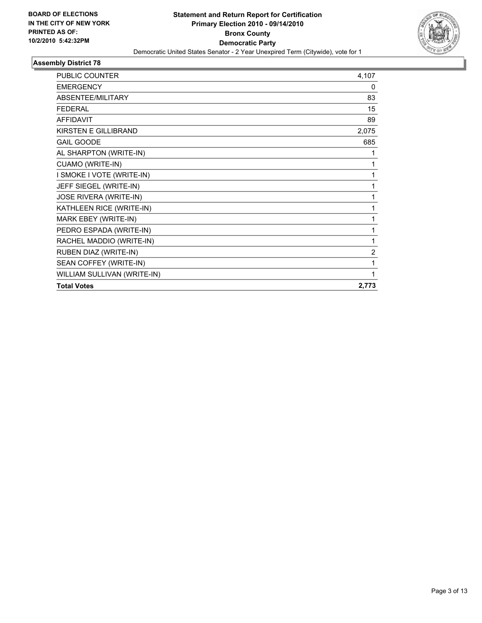

| <b>PUBLIC COUNTER</b>       | 4,107          |
|-----------------------------|----------------|
| <b>EMERGENCY</b>            | 0              |
| ABSENTEE/MILITARY           | 83             |
| <b>FEDERAL</b>              | 15             |
| <b>AFFIDAVIT</b>            | 89             |
| <b>KIRSTEN E GILLIBRAND</b> | 2,075          |
| <b>GAIL GOODE</b>           | 685            |
| AL SHARPTON (WRITE-IN)      | 1              |
| CUAMO (WRITE-IN)            | 1              |
| I SMOKE I VOTE (WRITE-IN)   | 1              |
| JEFF SIEGEL (WRITE-IN)      | 1              |
| JOSE RIVERA (WRITE-IN)      | 1              |
| KATHLEEN RICE (WRITE-IN)    | 1              |
| MARK EBEY (WRITE-IN)        | 1              |
| PEDRO ESPADA (WRITE-IN)     | 1              |
| RACHEL MADDIO (WRITE-IN)    | 1              |
| RUBEN DIAZ (WRITE-IN)       | $\overline{2}$ |
| SEAN COFFEY (WRITE-IN)      | 1              |
| WILLIAM SULLIVAN (WRITE-IN) |                |
| <b>Total Votes</b>          | 2,773          |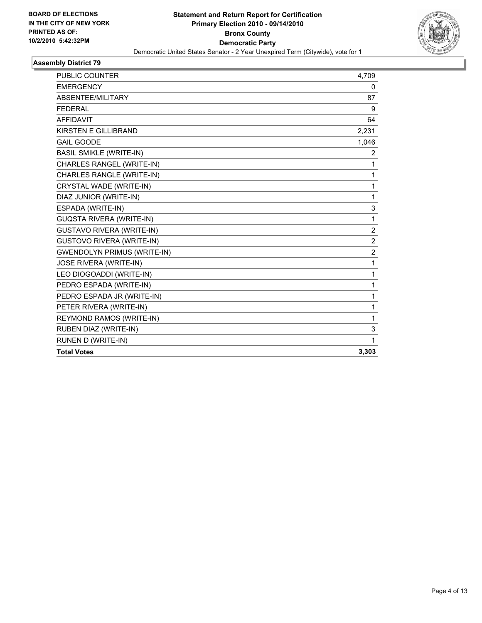

| <b>PUBLIC COUNTER</b>              | 4,709          |
|------------------------------------|----------------|
| <b>EMERGENCY</b>                   | 0              |
| ABSENTEE/MILITARY                  | 87             |
| <b>FEDERAL</b>                     | 9              |
| <b>AFFIDAVIT</b>                   | 64             |
| KIRSTEN E GILLIBRAND               | 2,231          |
| <b>GAIL GOODE</b>                  | 1,046          |
| <b>BASIL SMIKLE (WRITE-IN)</b>     | 2              |
| CHARLES RANGEL (WRITE-IN)          | 1              |
| CHARLES RANGLE (WRITE-IN)          | 1              |
| CRYSTAL WADE (WRITE-IN)            | $\mathbf{1}$   |
| DIAZ JUNIOR (WRITE-IN)             | $\mathbf{1}$   |
| ESPADA (WRITE-IN)                  | 3              |
| <b>GUQSTA RIVERA (WRITE-IN)</b>    | 1              |
| <b>GUSTAVO RIVERA (WRITE-IN)</b>   | 2              |
| <b>GUSTOVO RIVERA (WRITE-IN)</b>   | $\overline{2}$ |
| <b>GWENDOLYN PRIMUS (WRITE-IN)</b> | $\overline{2}$ |
| JOSE RIVERA (WRITE-IN)             | 1              |
| LEO DIOGOADDI (WRITE-IN)           | $\mathbf{1}$   |
| PEDRO ESPADA (WRITE-IN)            | $\mathbf 1$    |
| PEDRO ESPADA JR (WRITE-IN)         | 1              |
| PETER RIVERA (WRITE-IN)            | 1              |
| REYMOND RAMOS (WRITE-IN)           | 1              |
| RUBEN DIAZ (WRITE-IN)              | 3              |
| RUNEN D (WRITE-IN)                 | $\mathbf{1}$   |
| <b>Total Votes</b>                 | 3,303          |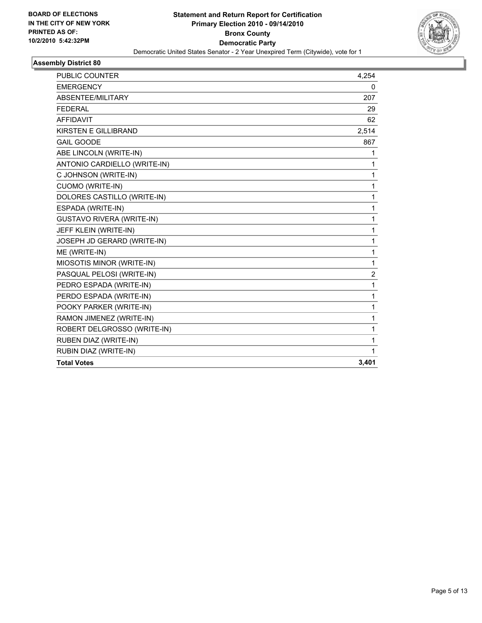

| <b>Total Votes</b>                                      | 3,401  |
|---------------------------------------------------------|--------|
| RUBIN DIAZ (WRITE-IN)                                   | 1      |
| RUBEN DIAZ (WRITE-IN)                                   | 1      |
| RAMON JIMENEZ (WRITE-IN)<br>ROBERT DELGROSSO (WRITE-IN) | 1<br>1 |
| POOKY PARKER (WRITE-IN)                                 | 1      |
| PERDO ESPADA (WRITE-IN)                                 | 1      |
| PEDRO ESPADA (WRITE-IN)                                 | 1      |
| PASQUAL PELOSI (WRITE-IN)                               | 2      |
| MIOSOTIS MINOR (WRITE-IN)                               | 1      |
| ME (WRITE-IN)                                           | 1      |
| JOSEPH JD GERARD (WRITE-IN)                             | 1      |
| JEFF KLEIN (WRITE-IN)                                   | 1      |
| <b>GUSTAVO RIVERA (WRITE-IN)</b>                        | 1      |
| ESPADA (WRITE-IN)                                       | 1      |
| DOLORES CASTILLO (WRITE-IN)                             | 1      |
| <b>CUOMO (WRITE-IN)</b>                                 | 1      |
| C JOHNSON (WRITE-IN)                                    | 1      |
| ANTONIO CARDIELLO (WRITE-IN)                            | 1      |
| ABE LINCOLN (WRITE-IN)                                  | 1      |
| <b>GAIL GOODE</b>                                       | 867    |
| <b>KIRSTEN E GILLIBRAND</b>                             | 2,514  |
| <b>AFFIDAVIT</b>                                        | 62     |
| <b>FEDERAL</b>                                          | 29     |
| ABSENTEE/MILITARY                                       | 207    |
| <b>EMERGENCY</b>                                        | 0      |
| <b>PUBLIC COUNTER</b>                                   | 4,254  |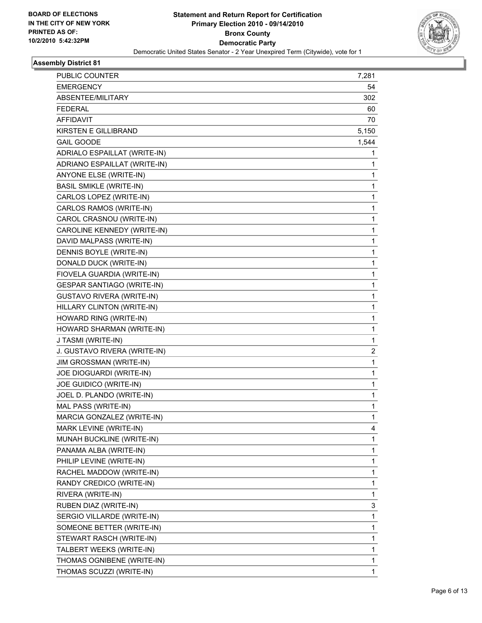

| PUBLIC COUNTER                   | 7,281          |
|----------------------------------|----------------|
| <b>EMERGENCY</b>                 | 54             |
| ABSENTEE/MILITARY                | 302            |
| <b>FEDERAL</b>                   | 60             |
| <b>AFFIDAVIT</b>                 | 70             |
| <b>KIRSTEN E GILLIBRAND</b>      | 5,150          |
| <b>GAIL GOODE</b>                | 1,544          |
| ADRIALO ESPAILLAT (WRITE-IN)     | 1              |
| ADRIANO ESPAILLAT (WRITE-IN)     | 1              |
| ANYONE ELSE (WRITE-IN)           | 1              |
| <b>BASIL SMIKLE (WRITE-IN)</b>   | 1              |
| CARLOS LOPEZ (WRITE-IN)          | 1              |
| CARLOS RAMOS (WRITE-IN)          | 1              |
| CAROL CRASNOU (WRITE-IN)         | 1              |
| CAROLINE KENNEDY (WRITE-IN)      | 1              |
| DAVID MALPASS (WRITE-IN)         | 1              |
| DENNIS BOYLE (WRITE-IN)          | 1              |
| DONALD DUCK (WRITE-IN)           | 1              |
| FIOVELA GUARDIA (WRITE-IN)       | 1              |
| GESPAR SANTIAGO (WRITE-IN)       | 1              |
| <b>GUSTAVO RIVERA (WRITE-IN)</b> | 1              |
| HILLARY CLINTON (WRITE-IN)       | 1              |
| HOWARD RING (WRITE-IN)           | 1              |
| HOWARD SHARMAN (WRITE-IN)        | 1              |
| J TASMI (WRITE-IN)               | 1              |
| J. GUSTAVO RIVERA (WRITE-IN)     | $\overline{2}$ |
| JIM GROSSMAN (WRITE-IN)          | 1              |
| JOE DIOGUARDI (WRITE-IN)         | 1              |
| JOE GUIDICO (WRITE-IN)           | 1              |
| JOEL D. PLANDO (WRITE-IN)        | $\mathbf{1}$   |
| MAL PASS (WRITE-IN)              | 1              |
| MARCIA GONZALEZ (WRITE-IN)       | 1              |
| MARK LEVINE (WRITE-IN)           | 4              |
| MUNAH BUCKLINE (WRITE-IN)        | 1              |
| PANAMA ALBA (WRITE-IN)           | 1              |
| PHILIP LEVINE (WRITE-IN)         | 1              |
| RACHEL MADDOW (WRITE-IN)         | 1              |
| RANDY CREDICO (WRITE-IN)         | 1              |
| RIVERA (WRITE-IN)                | 1              |
| RUBEN DIAZ (WRITE-IN)            | 3              |
| SERGIO VILLARDE (WRITE-IN)       | 1              |
| SOMEONE BETTER (WRITE-IN)        | 1              |
| STEWART RASCH (WRITE-IN)         | 1              |
| TALBERT WEEKS (WRITE-IN)         | 1              |
| THOMAS OGNIBENE (WRITE-IN)       | 1              |
| THOMAS SCUZZI (WRITE-IN)         | 1              |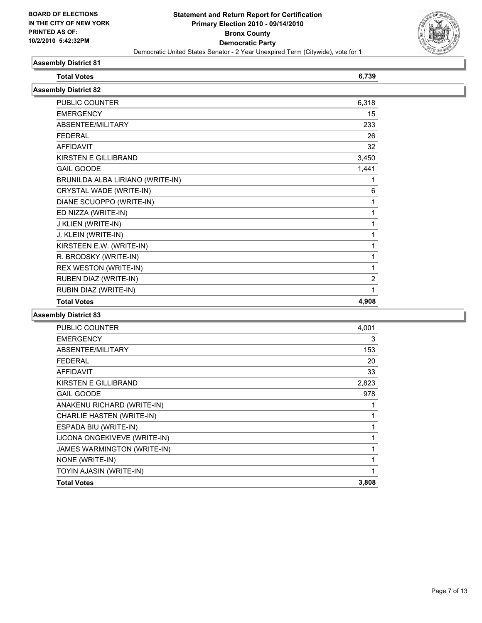

| <b>Total Votes</b>               | 6,739          |  |  |
|----------------------------------|----------------|--|--|
| <b>Assembly District 82</b>      |                |  |  |
| PUBLIC COUNTER                   | 6,318          |  |  |
| <b>EMERGENCY</b>                 | 15             |  |  |
| ABSENTEE/MILITARY                | 233            |  |  |
| <b>FEDERAL</b>                   | 26             |  |  |
| <b>AFFIDAVIT</b>                 | 32             |  |  |
| KIRSTEN E GILLIBRAND             | 3,450          |  |  |
| <b>GAIL GOODE</b>                | 1,441          |  |  |
| BRUNILDA ALBA LIRIANO (WRITE-IN) | 1              |  |  |
| CRYSTAL WADE (WRITE-IN)          | 6              |  |  |
| DIANE SCUOPPO (WRITE-IN)         | 1              |  |  |
| ED NIZZA (WRITE-IN)              | 1              |  |  |
| J KLIEN (WRITE-IN)               | 1              |  |  |
| J. KLEIN (WRITE-IN)              | 1              |  |  |
| KIRSTEEN E.W. (WRITE-IN)         | 1              |  |  |
| R. BRODSKY (WRITE-IN)            | 1              |  |  |
| REX WESTON (WRITE-IN)            | 1              |  |  |
| RUBEN DIAZ (WRITE-IN)            | $\overline{2}$ |  |  |
| RUBIN DIAZ (WRITE-IN)            | 1              |  |  |
| <b>Total Votes</b>               | 4,908          |  |  |
|                                  |                |  |  |

| <b>PUBLIC COUNTER</b>        | 4,001 |
|------------------------------|-------|
| <b>EMERGENCY</b>             | 3     |
| ABSENTEE/MILITARY            | 153   |
| <b>FEDERAL</b>               | 20    |
| <b>AFFIDAVIT</b>             | 33    |
| KIRSTEN E GILLIBRAND         | 2,823 |
| <b>GAIL GOODE</b>            | 978   |
| ANAKENU RICHARD (WRITE-IN)   | 1     |
| CHARLIE HASTEN (WRITE-IN)    | 1     |
| ESPADA BIU (WRITE-IN)        | 1     |
| IJCONA ONGEKIVEVE (WRITE-IN) | 1     |
| JAMES WARMINGTON (WRITE-IN)  | 1     |
| NONE (WRITE-IN)              | 1     |
| TOYIN AJASIN (WRITE-IN)      | 1     |
| <b>Total Votes</b>           | 3,808 |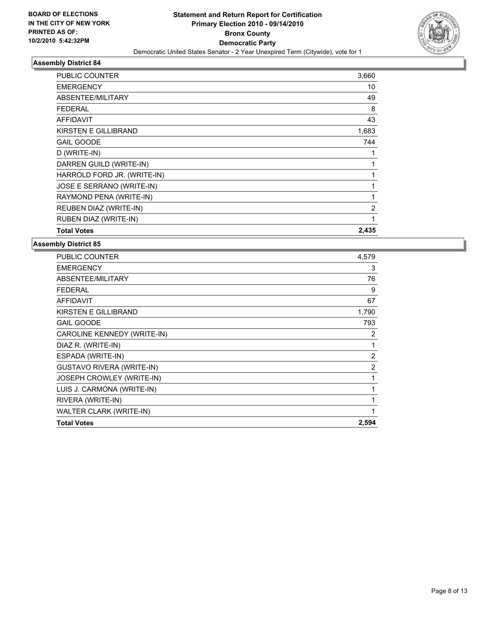

| PUBLIC COUNTER              | 3,660 |
|-----------------------------|-------|
| <b>EMERGENCY</b>            | 10    |
| <b>ABSENTEE/MILITARY</b>    | 49    |
| <b>FEDERAL</b>              | 8     |
| <b>AFFIDAVIT</b>            | 43    |
| KIRSTEN E GILLIBRAND        | 1,683 |
| <b>GAIL GOODE</b>           | 744   |
| D (WRITE-IN)                | 1     |
| DARREN GUILD (WRITE-IN)     | 1     |
| HARROLD FORD JR. (WRITE-IN) | 1     |
| JOSE E SERRANO (WRITE-IN)   | 1     |
| RAYMOND PENA (WRITE-IN)     | 1     |
| REUBEN DIAZ (WRITE-IN)      | 2     |
| RUBEN DIAZ (WRITE-IN)       | 1     |
| <b>Total Votes</b>          | 2,435 |

| <b>PUBLIC COUNTER</b>            | 4,579 |
|----------------------------------|-------|
| <b>EMERGENCY</b>                 | 3     |
| ABSENTEE/MILITARY                | 76    |
| FEDERAL                          | 9     |
| <b>AFFIDAVIT</b>                 | 67    |
| <b>KIRSTEN E GILLIBRAND</b>      | 1,790 |
| <b>GAIL GOODE</b>                | 793   |
| CAROLINE KENNEDY (WRITE-IN)      | 2     |
| DIAZ R. (WRITE-IN)               | 1     |
| ESPADA (WRITE-IN)                | 2     |
| <b>GUSTAVO RIVERA (WRITE-IN)</b> | 2     |
| JOSEPH CROWLEY (WRITE-IN)        | 1     |
| LUIS J. CARMONA (WRITE-IN)       | 1     |
| RIVERA (WRITE-IN)                | 1     |
| WALTER CLARK (WRITE-IN)          | 1     |
| <b>Total Votes</b>               | 2,594 |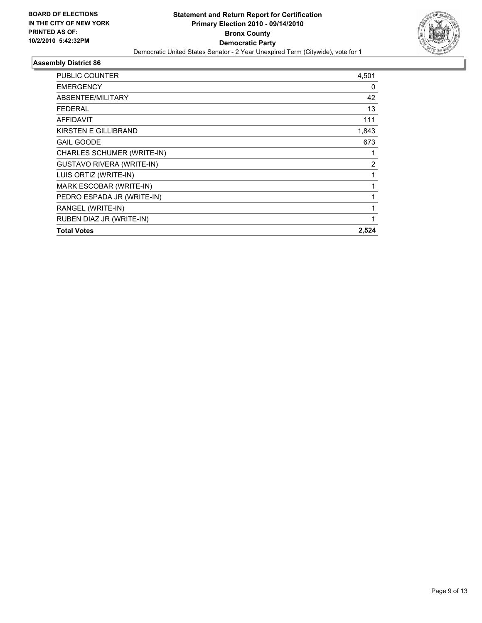

| PUBLIC COUNTER                   | 4,501          |
|----------------------------------|----------------|
| <b>EMERGENCY</b>                 | 0              |
| ABSENTEE/MILITARY                | 42             |
| <b>FEDERAL</b>                   | 13             |
| <b>AFFIDAVIT</b>                 | 111            |
| KIRSTEN E GILLIBRAND             | 1,843          |
| <b>GAIL GOODE</b>                | 673            |
| CHARLES SCHUMER (WRITE-IN)       | 1              |
| <b>GUSTAVO RIVERA (WRITE-IN)</b> | $\overline{2}$ |
| LUIS ORTIZ (WRITE-IN)            | 1              |
| MARK ESCOBAR (WRITE-IN)          | 1              |
| PEDRO ESPADA JR (WRITE-IN)       | 1              |
| RANGEL (WRITE-IN)                | $\mathbf{1}$   |
| RUBEN DIAZ JR (WRITE-IN)         | 1              |
| <b>Total Votes</b>               | 2,524          |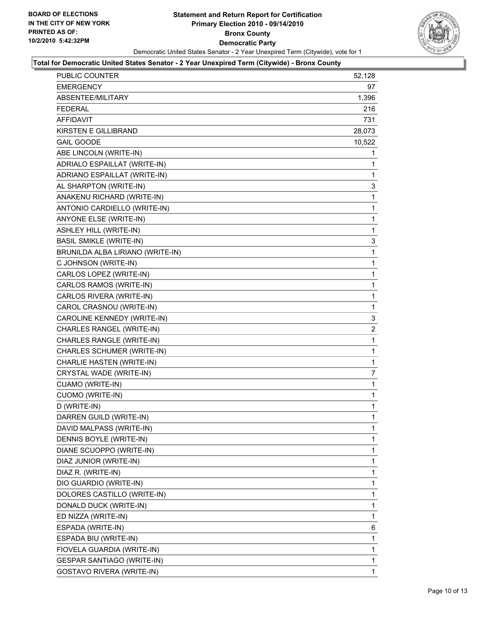

#### **Total for Democratic United States Senator - 2 Year Unexpired Term (Citywide) - Bronx County**

| PUBLIC COUNTER                   | 52,128         |
|----------------------------------|----------------|
| <b>EMERGENCY</b>                 | 97             |
| ABSENTEE/MILITARY                | 1,396          |
| <b>FEDERAL</b>                   | 216            |
| <b>AFFIDAVIT</b>                 | 731            |
| <b>KIRSTEN E GILLIBRAND</b>      | 28,073         |
| <b>GAIL GOODE</b>                | 10,522         |
| ABE LINCOLN (WRITE-IN)           | 1              |
| ADRIALO ESPAILLAT (WRITE-IN)     | 1              |
| ADRIANO ESPAILLAT (WRITE-IN)     | 1              |
| AL SHARPTON (WRITE-IN)           | 3              |
| ANAKENU RICHARD (WRITE-IN)       | 1              |
| ANTONIO CARDIELLO (WRITE-IN)     | 1              |
| ANYONE ELSE (WRITE-IN)           | 1              |
| <b>ASHLEY HILL (WRITE-IN)</b>    | 1              |
| <b>BASIL SMIKLE (WRITE-IN)</b>   | 3              |
| BRUNILDA ALBA LIRIANO (WRITE-IN) | 1              |
| C JOHNSON (WRITE-IN)             | 1              |
| CARLOS LOPEZ (WRITE-IN)          | 1              |
| CARLOS RAMOS (WRITE-IN)          | 1              |
| CARLOS RIVERA (WRITE-IN)         | 1              |
| CAROL CRASNOU (WRITE-IN)         | 1              |
| CAROLINE KENNEDY (WRITE-IN)      | 3              |
| CHARLES RANGEL (WRITE-IN)        | $\overline{2}$ |
| CHARLES RANGLE (WRITE-IN)        | 1              |
| CHARLES SCHUMER (WRITE-IN)       | 1              |
| CHARLIE HASTEN (WRITE-IN)        | 1              |
| CRYSTAL WADE (WRITE-IN)          | 7              |
| CUAMO (WRITE-IN)                 | 1              |
| <b>CUOMO (WRITE-IN)</b>          | 1              |
| D (WRITE-IN)                     | 1              |
| DARREN GUILD (WRITE-IN)          | 1              |
| DAVID MALPASS (WRITE-IN)         | 1              |
| DENNIS BOYLE (WRITE-IN)          | 1              |
| DIANE SCUOPPO (WRITE-IN)         | 1              |
| DIAZ JUNIOR (WRITE-IN)           | 1              |
| DIAZ R. (WRITE-IN)               | 1              |
| DIO GUARDIO (WRITE-IN)           | 1              |
| DOLORES CASTILLO (WRITE-IN)      | 1              |
| DONALD DUCK (WRITE-IN)           | 1              |
| ED NIZZA (WRITE-IN)              | 1              |
| ESPADA (WRITE-IN)                | 6              |
| ESPADA BIU (WRITE-IN)            | 1              |
| FIOVELA GUARDIA (WRITE-IN)       | 1              |
| GESPAR SANTIAGO (WRITE-IN)       | 1              |
| GOSTAVO RIVERA (WRITE-IN)        | 1              |
|                                  |                |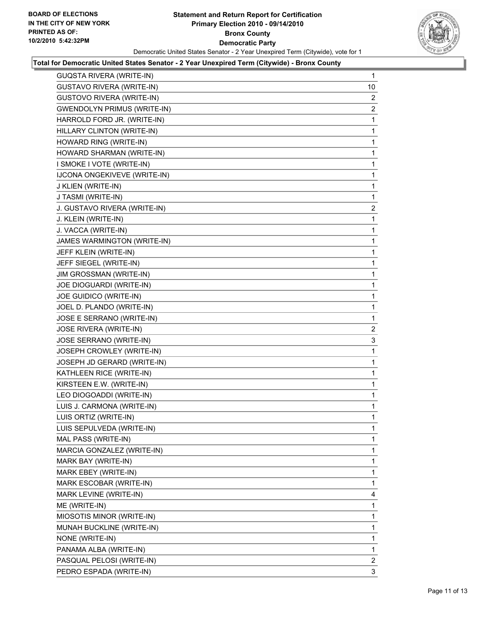

#### **Total for Democratic United States Senator - 2 Year Unexpired Term (Citywide) - Bronx County**

| <b>GUQSTA RIVERA (WRITE-IN)</b>     | $\mathbf{1}$   |
|-------------------------------------|----------------|
| <b>GUSTAVO RIVERA (WRITE-IN)</b>    | 10             |
| GUSTOVO RIVERA (WRITE-IN)           | $\overline{2}$ |
| <b>GWENDOLYN PRIMUS (WRITE-IN)</b>  | $\overline{2}$ |
| HARROLD FORD JR. (WRITE-IN)         | 1              |
| HILLARY CLINTON (WRITE-IN)          | 1              |
| HOWARD RING (WRITE-IN)              | 1              |
| HOWARD SHARMAN (WRITE-IN)           | 1              |
| I SMOKE I VOTE (WRITE-IN)           | 1              |
| <b>IJCONA ONGEKIVEVE (WRITE-IN)</b> | 1              |
| J KLIEN (WRITE-IN)                  | 1              |
| J TASMI (WRITE-IN)                  | 1              |
| J. GUSTAVO RIVERA (WRITE-IN)        | $\mathbf{2}$   |
| J. KLEIN (WRITE-IN)                 | 1              |
| J. VACCA (WRITE-IN)                 | 1              |
| JAMES WARMINGTON (WRITE-IN)         | 1              |
| JEFF KLEIN (WRITE-IN)               | 1              |
| JEFF SIEGEL (WRITE-IN)              | 1              |
| JIM GROSSMAN (WRITE-IN)             | 1              |
| JOE DIOGUARDI (WRITE-IN)            | 1              |
| JOE GUIDICO (WRITE-IN)              | 1              |
| JOEL D. PLANDO (WRITE-IN)           | 1              |
| JOSE E SERRANO (WRITE-IN)           | 1              |
| JOSE RIVERA (WRITE-IN)              | 2              |
| JOSE SERRANO (WRITE-IN)             | 3              |
| JOSEPH CROWLEY (WRITE-IN)           | 1              |
| JOSEPH JD GERARD (WRITE-IN)         | 1              |
| KATHLEEN RICE (WRITE-IN)            | 1              |
| KIRSTEEN E.W. (WRITE-IN)            | 1              |
| LEO DIOGOADDI (WRITE-IN)            | 1              |
| LUIS J. CARMONA (WRITE-IN)          | 1              |
| LUIS ORTIZ (WRITE-IN)               | 1              |
| LUIS SEPULVEDA (WRITE-IN)           | 1              |
| MAL PASS (WRITE-IN)                 | $\mathbf{1}$   |
| MARCIA GONZALEZ (WRITE-IN)          | 1              |
| MARK BAY (WRITE-IN)                 | 1              |
| MARK EBEY (WRITE-IN)                | 1              |
| MARK ESCOBAR (WRITE-IN)             | 1              |
| MARK LEVINE (WRITE-IN)              | 4              |
| ME (WRITE-IN)                       | 1              |
| MIOSOTIS MINOR (WRITE-IN)           | 1              |
| MUNAH BUCKLINE (WRITE-IN)           | 1              |
| NONE (WRITE-IN)                     | 1              |
| PANAMA ALBA (WRITE-IN)              | 1              |
| PASQUAL PELOSI (WRITE-IN)           | 2              |
| PEDRO ESPADA (WRITE-IN)             | 3              |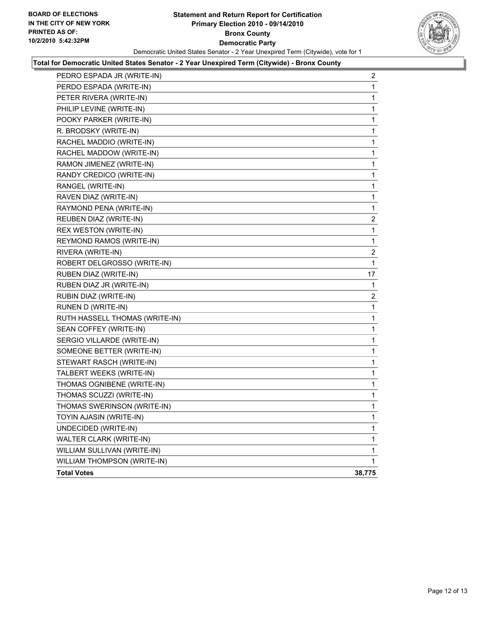

#### **Total for Democratic United States Senator - 2 Year Unexpired Term (Citywide) - Bronx County**

| PEDRO ESPADA JR (WRITE-IN)     | $\overline{\mathbf{c}}$ |
|--------------------------------|-------------------------|
| PERDO ESPADA (WRITE-IN)        | 1                       |
| PETER RIVERA (WRITE-IN)        | 1                       |
| PHILIP LEVINE (WRITE-IN)       | 1                       |
| POOKY PARKER (WRITE-IN)        | 1                       |
| R. BRODSKY (WRITE-IN)          | 1                       |
| RACHEL MADDIO (WRITE-IN)       | 1                       |
| RACHEL MADDOW (WRITE-IN)       | 1                       |
| RAMON JIMENEZ (WRITE-IN)       | 1                       |
| RANDY CREDICO (WRITE-IN)       | 1                       |
| RANGEL (WRITE-IN)              | 1                       |
| RAVEN DIAZ (WRITE-IN)          | 1                       |
| RAYMOND PENA (WRITE-IN)        | 1                       |
| REUBEN DIAZ (WRITE-IN)         | 2                       |
| REX WESTON (WRITE-IN)          | 1                       |
| REYMOND RAMOS (WRITE-IN)       | 1                       |
| RIVERA (WRITE-IN)              | 2                       |
| ROBERT DELGROSSO (WRITE-IN)    | 1                       |
| RUBEN DIAZ (WRITE-IN)          | 17                      |
| RUBEN DIAZ JR (WRITE-IN)       | 1                       |
| RUBIN DIAZ (WRITE-IN)          | 2                       |
| RUNEN D (WRITE-IN)             | 1                       |
| RUTH HASSELL THOMAS (WRITE-IN) | 1                       |
| SEAN COFFEY (WRITE-IN)         | 1                       |
| SERGIO VILLARDE (WRITE-IN)     | 1                       |
| SOMEONE BETTER (WRITE-IN)      | 1                       |
| STEWART RASCH (WRITE-IN)       | 1                       |
| TALBERT WEEKS (WRITE-IN)       | 1                       |
| THOMAS OGNIBENE (WRITE-IN)     | 1                       |
| THOMAS SCUZZI (WRITE-IN)       | 1                       |
| THOMAS SWERINSON (WRITE-IN)    | 1                       |
| TOYIN AJASIN (WRITE-IN)        | 1                       |
| UNDECIDED (WRITE-IN)           | 1                       |
| WALTER CLARK (WRITE-IN)        | $\mathbf 1$             |
| WILLIAM SULLIVAN (WRITE-IN)    | 1                       |
| WILLIAM THOMPSON (WRITE-IN)    | $\mathbf 1$             |
| <b>Total Votes</b>             | 38,775                  |
|                                |                         |